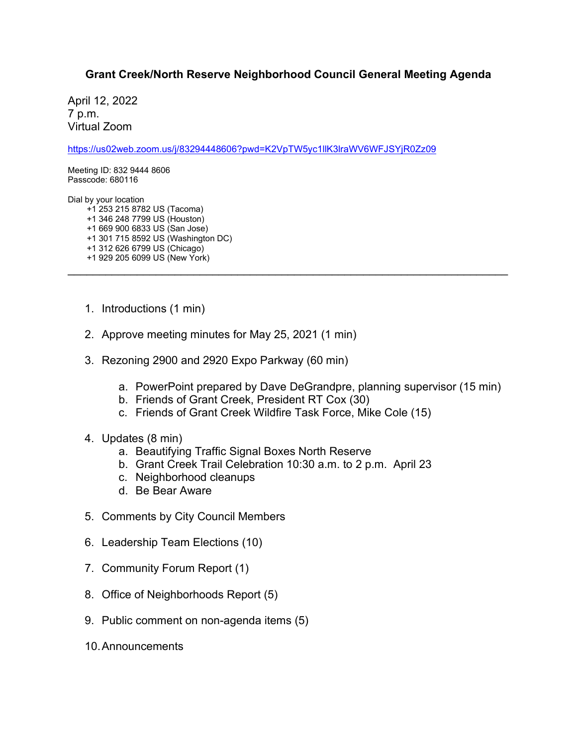## **Grant Creek/North Reserve Neighborhood Council General Meeting Agenda**

\_\_\_\_\_\_\_\_\_\_\_\_\_\_\_\_\_\_\_\_\_\_\_\_\_\_\_\_\_\_\_\_\_\_\_\_\_\_\_\_\_\_\_\_\_\_\_\_\_\_\_\_\_\_\_\_\_\_\_\_\_\_\_\_\_\_\_\_\_\_

April 12, 2022 7 p.m. Virtual Zoom

<https://us02web.zoom.us/j/83294448606?pwd=K2VpTW5yc1llK3lraWV6WFJSYjR0Zz09>

Meeting ID: 832 9444 8606 Passcode: 680116

Dial by your location

+1 253 215 8782 US (Tacoma)

- +1 346 248 7799 US (Houston) +1 669 900 6833 US (San Jose)
- +1 301 715 8592 US (Washington DC)
- +1 312 626 6799 US (Chicago)
- +1 929 205 6099 US (New York)
- 1. Introductions (1 min)
- 2. Approve meeting minutes for May 25, 2021 (1 min)
- 3. Rezoning 2900 and 2920 Expo Parkway (60 min)
	- a. PowerPoint prepared by Dave DeGrandpre, planning supervisor (15 min)
	- b. Friends of Grant Creek, President RT Cox (30)
	- c. Friends of Grant Creek Wildfire Task Force, Mike Cole (15)
- 4. Updates (8 min)
	- a. Beautifying Traffic Signal Boxes North Reserve
	- b. Grant Creek Trail Celebration 10:30 a.m. to 2 p.m. April 23
	- c. Neighborhood cleanups
	- d. Be Bear Aware
- 5. Comments by City Council Members
- 6. Leadership Team Elections (10)
- 7. Community Forum Report (1)
- 8. Office of Neighborhoods Report (5)
- 9. Public comment on non-agenda items (5)
- 10.Announcements